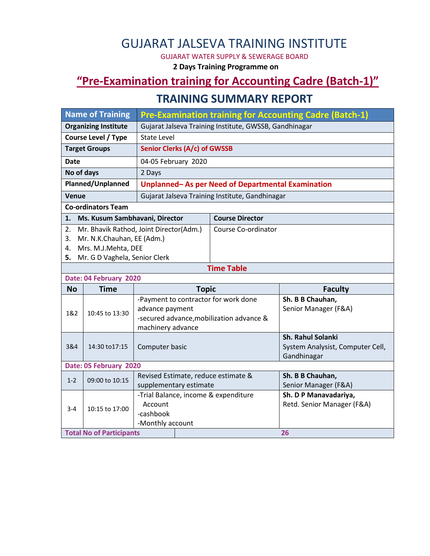# GUJARAT JALSEVA TRAINING INSTITUTE

GUJARAT WATER SUPPLY & SEWERAGE BOARD

**2 Days Training Programme on**

## **"Pre-Examination training for Accounting Cadre (Batch-1)"**

#### **TRAINING SUMMARY REPORT**

| <b>Name of Training</b>              |                                 | <b>Pre-Examination training for Accounting Cadre (Batch-1)</b> |                                          |                                                 |  |  |  |
|--------------------------------------|---------------------------------|----------------------------------------------------------------|------------------------------------------|-------------------------------------------------|--|--|--|
| <b>Organizing Institute</b>          |                                 | Gujarat Jalseva Training Institute, GWSSB, Gandhinagar         |                                          |                                                 |  |  |  |
| <b>Course Level / Type</b>           |                                 | <b>State Level</b>                                             |                                          |                                                 |  |  |  |
| <b>Target Groups</b>                 |                                 | Senior Clerks (A/c) of GWSSB                                   |                                          |                                                 |  |  |  |
| Date                                 |                                 | 04-05 February 2020                                            |                                          |                                                 |  |  |  |
| No of days                           |                                 | 2 Days                                                         |                                          |                                                 |  |  |  |
| Planned/Unplanned                    |                                 | Unplanned-As per Need of Departmental Examination              |                                          |                                                 |  |  |  |
| Venue                                |                                 | Gujarat Jalseva Training Institute, Gandhinagar                |                                          |                                                 |  |  |  |
| <b>Co-ordinators Team</b>            |                                 |                                                                |                                          |                                                 |  |  |  |
| Ms. Kusum Sambhavani, Director<br>1. |                                 |                                                                | <b>Course Director</b>                   |                                                 |  |  |  |
| 2.                                   |                                 | Mr. Bhavik Rathod, Joint Director(Adm.)                        |                                          | Course Co-ordinator                             |  |  |  |
| 3.                                   | Mr. N.K.Chauhan, EE (Adm.)      |                                                                |                                          |                                                 |  |  |  |
| 4.                                   | Mrs. M.J.Mehta, DEE             |                                                                |                                          |                                                 |  |  |  |
| Mr. G D Vaghela, Senior Clerk<br>5.  |                                 |                                                                |                                          |                                                 |  |  |  |
| <b>Time Table</b>                    |                                 |                                                                |                                          |                                                 |  |  |  |
| Date: 04 February 2020               |                                 |                                                                |                                          |                                                 |  |  |  |
|                                      |                                 |                                                                |                                          |                                                 |  |  |  |
| <b>No</b>                            | <b>Time</b>                     |                                                                | <b>Topic</b>                             | <b>Faculty</b>                                  |  |  |  |
|                                      |                                 | -Payment to contractor for work done                           |                                          | Sh. B B Chauhan,                                |  |  |  |
| 1&2                                  | 10:45 to 13:30                  | advance payment                                                |                                          | Senior Manager (F&A)                            |  |  |  |
|                                      |                                 |                                                                | -secured advance, mobilization advance & |                                                 |  |  |  |
|                                      |                                 | machinery advance                                              |                                          |                                                 |  |  |  |
|                                      |                                 |                                                                |                                          | Sh. Rahul Solanki                               |  |  |  |
| 3&4                                  | 14:30 to 17:15                  | Computer basic                                                 |                                          | System Analysist, Computer Cell,<br>Gandhinagar |  |  |  |
|                                      | Date: 05 February 2020          |                                                                |                                          |                                                 |  |  |  |
|                                      |                                 | Revised Estimate, reduce estimate &                            |                                          | Sh. B B Chauhan,                                |  |  |  |
| $1 - 2$                              | 09:00 to 10:15                  | supplementary estimate                                         |                                          | Senior Manager (F&A)                            |  |  |  |
|                                      |                                 | -Trial Balance, income & expenditure                           |                                          | Sh. D P Manavadariya,                           |  |  |  |
| $3 - 4$                              |                                 | Account                                                        |                                          | Retd. Senior Manager (F&A)                      |  |  |  |
|                                      | 10:15 to 17:00                  | -cashbook                                                      |                                          |                                                 |  |  |  |
|                                      | <b>Total No of Participants</b> | -Monthly account                                               |                                          | 26                                              |  |  |  |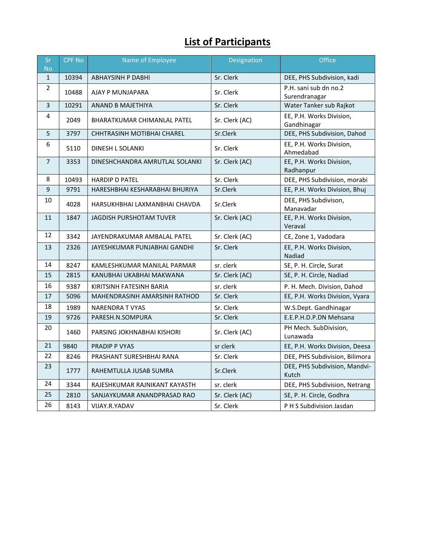# **List of Participants**

| Sr<br><b>No</b>         | <b>CPF No</b> | Name of Employee                   | Designation    | Office                                  |
|-------------------------|---------------|------------------------------------|----------------|-----------------------------------------|
| $\mathbf{1}$            | 10394         | <b>ABHAYSINH P DABHI</b>           | Sr. Clerk      | DEE, PHS Subdivision, kadi              |
| 2                       | 10488         | AJAY P MUNJAPARA                   | Sr. Clerk      | P.H. sani sub dn no.2<br>Surendranagar  |
| $\overline{\mathbf{3}}$ | 10291         | ANAND B MAJETHIYA                  | Sr. Clerk      | Water Tanker sub Rajkot                 |
| 4                       | 2049          | <b>BHARATKUMAR CHIMANLAL PATEL</b> | Sr. Clerk (AC) | EE, P.H. Works Division,<br>Gandhinagar |
| 5                       | 3797          | CHHTRASINH MOTIBHAI CHAREL         | Sr.Clerk       | DEE, PHS Subdivision, Dahod             |
| 6                       | 5110          | DINESH L SOLANKI                   | Sr. Clerk      | EE, P.H. Works Division,<br>Ahmedabad   |
| $\overline{7}$          | 3353          | DINESHCHANDRA AMRUTLAL SOLANKI     | Sr. Clerk (AC) | EE, P.H. Works Division,<br>Radhanpur   |
| 8                       | 10493         | <b>HARDIP D PATEL</b>              | Sr. Clerk      | DEE, PHS Subdivision, morabi            |
| $\overline{9}$          | 9791          | HARESHBHAI KESHARABHAI BHURIYA     | Sr.Clerk       | EE, P.H. Works Division, Bhuj           |
| 10                      | 4028          | HARSUKHBHAI LAXMANBHAI CHAVDA      | Sr.Clerk       | DEE, PHS Subdivison,<br>Manavadar       |
| 11                      | 1847          | <b>JAGDISH PURSHOTAM TUVER</b>     | Sr. Clerk (AC) | EE, P.H. Works Division,<br>Veraval     |
| 12                      | 3342          | JAYENDRAKUMAR AMBALAL PATEL        | Sr. Clerk (AC) | CE, Zone 1, Vadodara                    |
| 13                      | 2326          | JAYESHKUMAR PUNJABHAI GANDHI       | Sr. Clerk      | EE, P.H. Works Division,<br>Nadiad      |
| 14                      | 8247          | KAMLESHKUMAR MANILAL PARMAR        | sr. clerk      | SE, P. H. Circle, Surat                 |
| 15                      | 2815          | KANUBHAI UKABHAI MAKWANA           | Sr. Clerk (AC) | SE, P. H. Circle, Nadiad                |
| 16                      | 9387          | KIRITSINH FATESINH BARIA           | sr. clerk      | P. H. Mech. Division, Dahod             |
| 17                      | 5096          | MAHENDRASINH AMARSINH RATHOD       | Sr. Clerk      | EE, P.H. Works Division, Vyara          |
| 18                      | 1989          | <b>NARENDRA T VYAS</b>             | Sr. Clerk      | W.S.Dept. Gandhinagar                   |
| 19                      | 9726          | PARESH.N.SOMPURA                   | Sr. Clerk      | E.E.P.H.D.P.DN Mehsana                  |
| 20                      | 1460          | PARSING JOKHNABHAI KISHORI         | Sr. Clerk (AC) | PH Mech. SubDivision,<br>Lunawada       |
| 21                      | 9840          | PRADIP P VYAS                      | sr clerk       | EE, P.H. Works Division, Deesa          |
| 22                      | 8246          | PRASHANT SURESHBHAI RANA           | Sr. Clerk      | DEE, PHS Subdivision, Bilimora          |
| 23                      | 1777          | RAHEMTULLA JUSAB SUMRA             | Sr.Clerk       | DEE, PHS Subdivision, Mandvi-<br>Kutch  |
| 24                      | 3344          | RAJESHKUMAR RAJNIKANT KAYASTH      | sr. clerk      | DEE, PHS Subdivision, Netrang           |
| 25                      | 2810          | SANJAYKUMAR ANANDPRASAD RAO        | Sr. Clerk (AC) | SE, P. H. Circle, Godhra                |
| 26                      | 8143          | VIJAY.R.YADAV                      | Sr. Clerk      | P H S Subdivision Jasdan                |